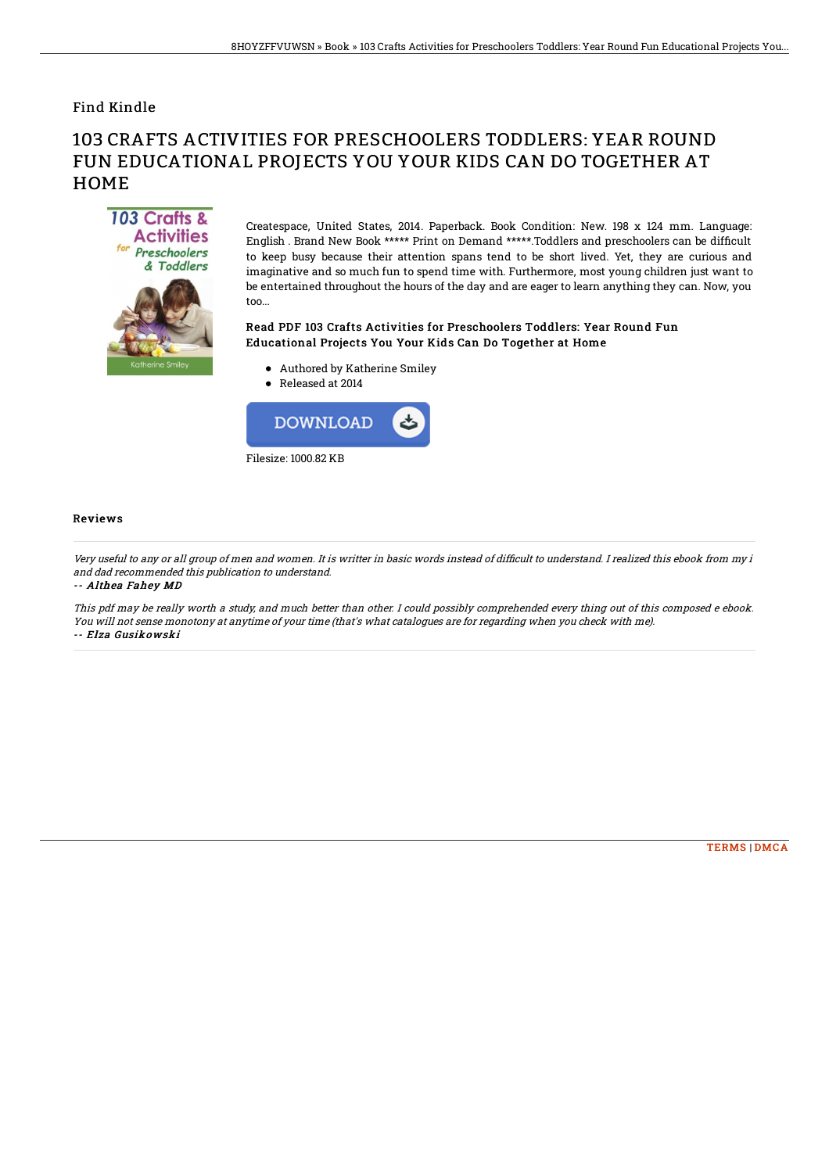## Find Kindle

# 103 CRAFTS ACTIVITIES FOR PRESCHOOLERS TODDLERS: YEAR ROUND FUN EDUCATIONAL PROJECTS YOU YOUR KIDS CAN DO TOGETHER AT **HOME**



Createspace, United States, 2014. Paperback. Book Condition: New. 198 x 124 mm. Language: English . Brand New Book \*\*\*\*\* Print on Demand \*\*\*\*\*.Toddlers and preschoolers can be difficult to keep busy because their attention spans tend to be short lived. Yet, they are curious and imaginative and so much fun to spend time with. Furthermore, most young children just want to be entertained throughout the hours of the day and are eager to learn anything they can. Now, you too...

### Read PDF 103 Crafts Activities for Preschoolers Toddlers: Year Round Fun Educational Projects You Your Kids Can Do Together at Home

- Authored by Katherine Smiley
- Released at 2014



#### Reviews

Very useful to any or all group of men and women. It is writter in basic words instead of difficult to understand. I realized this ebook from my i and dad recommended this publication to understand.

-- Althea Fahey MD

This pdf may be really worth <sup>a</sup> study, and much better than other. I could possibly comprehended every thing out of this composed <sup>e</sup> ebook. You will not sense monotony at anytime of your time (that's what catalogues are for regarding when you check with me). -- Elza Gusikowski